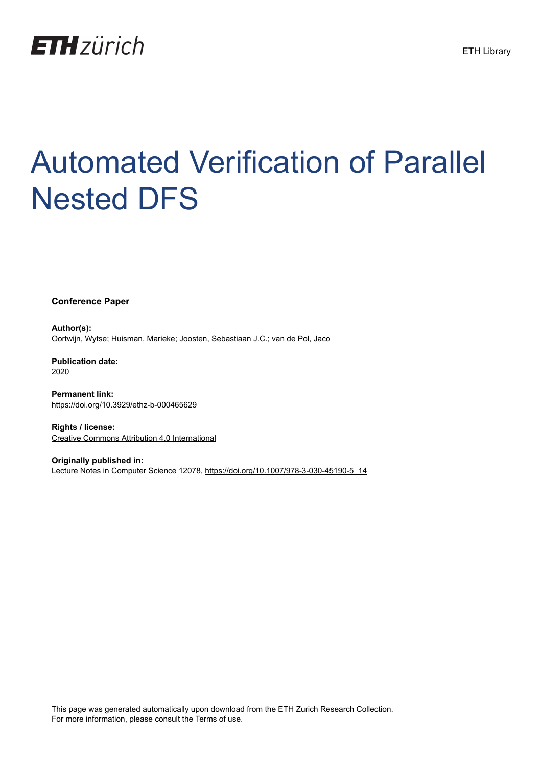

# Automated Verification of Parallel Nested DFS

**Conference Paper**

**Author(s):** Oortwijn, Wytse; Huisman, Marieke; Joosten, Sebastiaan J.C.; van de Pol, Jaco

**Publication date:** 2020

**Permanent link:** <https://doi.org/10.3929/ethz-b-000465629>

**Rights / license:** [Creative Commons Attribution 4.0 International](http://creativecommons.org/licenses/by/4.0/)

**Originally published in:** Lecture Notes in Computer Science 12078, [https://doi.org/10.1007/978-3-030-45190-5\\_14](https://doi.org/10.1007/978-3-030-45190-5_14)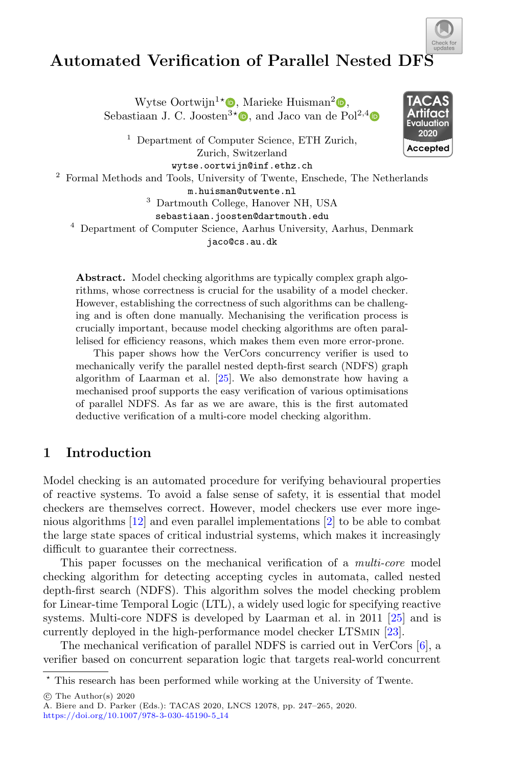

# Automated Verification of Parallel Nested DF[S](http://crossmark.crossref.org/dialog/?doi=10.1007/978-3-030-45190-5_14&domain=pdf)

Wytse Oortwijn<sup>1</sup><sup>\*</sup> $\bullet$ [,](http://orcid.org/0000-0003-4467-072X) Marieke Huisman<sup>2</sup> $\bullet$ , Sebastiaan J. C. Joosten<sup>3\*</sup>**D**[,](http://orcid.org/0000-0002-6590-6220) and Jaco van de Pol<sup>2,4</sup>

<sup>1</sup> Department of Computer Science, ETH Zurich, Zurich, Switzerland wytse.oortwijn@inf.ethz.ch



<sup>2</sup> Formal Methods and Tools, University of Twente, Enschede, The Netherlands m.huisman@utwente.nl <sup>3</sup> Dartmouth College, Hanover NH, USA

sebastiaan.joosten@dartmouth.edu

<sup>4</sup> Department of Computer Science, Aarhus University, Aarhus, Denmark jaco@cs.au.dk

Abstract. Model checking algorithms are typically complex graph algorithms, whose correctness is crucial for the usability of a model checker. However, establishing the correctness of such algorithms can be challenging and is often done manually. Mechanising the verification process is crucially important, because model checking algorithms are often parallelised for efficiency reasons, which makes them even more error-prone.

This paper shows how the VerCors concurrency verifier is used to mechanically verify the parallel nested depth-first search (NDFS) graph algorithm of Laarman et al. [\[25\]](#page-18-0). We also demonstrate how having a mechanised proof supports the easy verification of various optimisations of parallel NDFS. As far as we are aware, this is the first automated deductive verification of a multi-core model checking algorithm.

# 1 Introduction

Model checking is an automated procedure for verifying behavioural properties of reactive systems. To avoid a false sense of safety, it is essential that model checkers are themselves correct. However, model checkers use ever more ingenious algorithms [\[12\]](#page-17-0) and even parallel implementations [\[2\]](#page-17-1) to be able to combat the large state spaces of critical industrial systems, which makes it increasingly difficult to guarantee their correctness.

This paper focusses on the mechanical verification of a multi-core model checking algorithm for detecting accepting cycles in automata, called nested depth-first search (NDFS). This algorithm solves the model checking problem for Linear-time Temporal Logic (LTL), a widely used logic for specifying reactive systems. Multi-core NDFS is developed by Laarman et al. in 2011 [\[25\]](#page-18-0) and is currently deployed in the high-performance model checker LTSmin [\[23\]](#page-18-1).

The mechanical verification of parallel NDFS is carried out in VerCors [\[6\]](#page-17-2), a verifier based on concurrent separation logic that targets real-world concurrent

<sup>?</sup> This research has been performed while working at the University of Twente.

 $\circ$  The Author(s) 2020

A. Biere and D. Parker (Eds.): TACAS 2020, LNCS 12078, pp. 247–265, 2020. [https://doi.org/10.1007/978-3-030-45190-5](https://doi.org/10.1007/978-3-030-45190-5_14) 14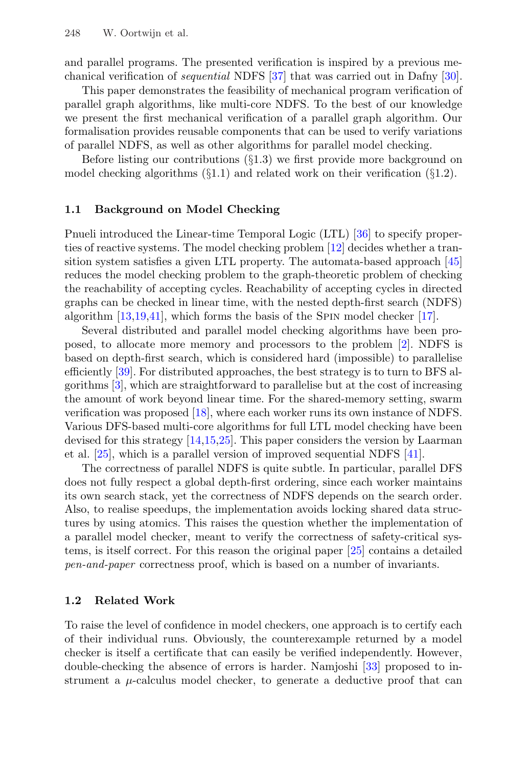and parallel programs. The presented verification is inspired by a previous mechanical verification of sequential NDFS [\[37\]](#page-18-2) that was carried out in Dafny [\[30\]](#page-18-3).

This paper demonstrates the feasibility of mechanical program verification of parallel graph algorithms, like multi-core NDFS. To the best of our knowledge we present the first mechanical verification of a parallel graph algorithm. Our formalisation provides reusable components that can be used to verify variations of parallel NDFS, as well as other algorithms for parallel model checking.

Before listing our contributions (§[1.3\)](#page-3-0) we first provide more background on model checking algorithms  $(\S1.1)$  $(\S1.1)$  and related work on their verification  $(\S1.2)$  $(\S1.2)$ .

#### <span id="page-2-0"></span>1.1 Background on Model Checking

Pnueli introduced the Linear-time Temporal Logic (LTL) [\[36\]](#page-18-4) to specify properties of reactive systems. The model checking problem [\[12\]](#page-17-0) decides whether a transition system satisfies a given LTL property. The automata-based approach [\[45\]](#page-19-0) reduces the model checking problem to the graph-theoretic problem of checking the reachability of accepting cycles. Reachability of accepting cycles in directed graphs can be checked in linear time, with the nested depth-first search (NDFS) algorithm  $[13,19,41]$  $[13,19,41]$  $[13,19,41]$ , which forms the basis of the SPIN model checker  $[17]$ .

Several distributed and parallel model checking algorithms have been proposed, to allocate more memory and processors to the problem [\[2\]](#page-17-1). NDFS is based on depth-first search, which is considered hard (impossible) to parallelise efficiently [\[39\]](#page-19-2). For distributed approaches, the best strategy is to turn to BFS algorithms [\[3\]](#page-17-5), which are straightforward to parallelise but at the cost of increasing the amount of work beyond linear time. For the shared-memory setting, swarm verification was proposed [\[18\]](#page-17-6), where each worker runs its own instance of NDFS. Various DFS-based multi-core algorithms for full LTL model checking have been devised for this strategy [\[14,](#page-17-7)[15,](#page-17-8)[25\]](#page-18-0). This paper considers the version by Laarman et al. [\[25\]](#page-18-0), which is a parallel version of improved sequential NDFS [\[41\]](#page-19-1).

The correctness of parallel NDFS is quite subtle. In particular, parallel DFS does not fully respect a global depth-first ordering, since each worker maintains its own search stack, yet the correctness of NDFS depends on the search order. Also, to realise speedups, the implementation avoids locking shared data structures by using atomics. This raises the question whether the implementation of a parallel model checker, meant to verify the correctness of safety-critical systems, is itself correct. For this reason the original paper [\[25\]](#page-18-0) contains a detailed pen-and-paper correctness proof, which is based on a number of invariants.

## <span id="page-2-1"></span>1.2 Related Work

To raise the level of confidence in model checkers, one approach is to certify each of their individual runs. Obviously, the counterexample returned by a model checker is itself a certificate that can easily be verified independently. However, double-checking the absence of errors is harder. Namjoshi [\[33\]](#page-18-6) proposed to instrument a  $\mu$ -calculus model checker, to generate a deductive proof that can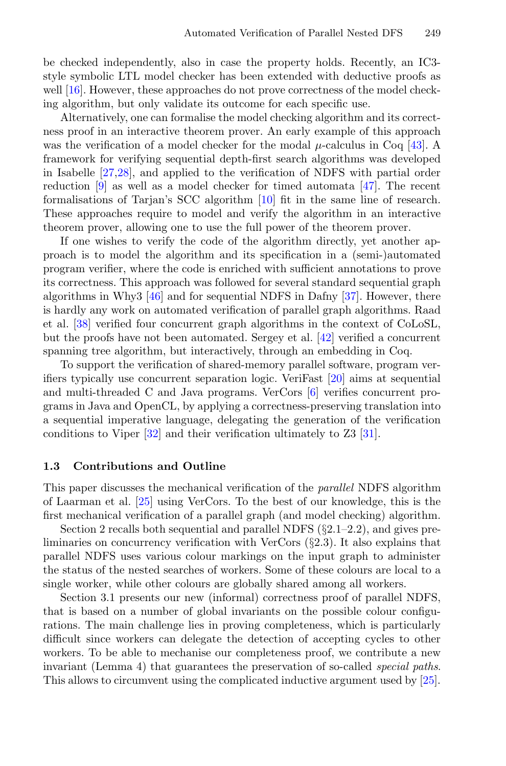be checked independently, also in case the property holds. Recently, an IC3 style symbolic LTL model checker has been extended with deductive proofs as well [\[16\]](#page-17-9). However, these approaches do not prove correctness of the model checking algorithm, but only validate its outcome for each specific use.

Alternatively, one can formalise the model checking algorithm and its correctness proof in an interactive theorem prover. An early example of this approach was the verification of a model checker for the modal  $\mu$ -calculus in Coq [\[43\]](#page-19-3). A framework for verifying sequential depth-first search algorithms was developed in Isabelle [\[27](#page-18-7)[,28\]](#page-18-8), and applied to the verification of NDFS with partial order reduction [\[9\]](#page-17-10) as well as a model checker for timed automata [\[47\]](#page-19-4). The recent formalisations of Tarjan's SCC algorithm [\[10\]](#page-17-11) fit in the same line of research. These approaches require to model and verify the algorithm in an interactive theorem prover, allowing one to use the full power of the theorem prover.

If one wishes to verify the code of the algorithm directly, yet another approach is to model the algorithm and its specification in a (semi-)automated program verifier, where the code is enriched with sufficient annotations to prove its correctness. This approach was followed for several standard sequential graph algorithms in Why3 [\[46\]](#page-19-5) and for sequential NDFS in Dafny [\[37\]](#page-18-2). However, there is hardly any work on automated verification of parallel graph algorithms. Raad et al. [\[38\]](#page-18-9) verified four concurrent graph algorithms in the context of CoLoSL, but the proofs have not been automated. Sergey et al. [\[42\]](#page-19-6) verified a concurrent spanning tree algorithm, but interactively, through an embedding in Coq.

To support the verification of shared-memory parallel software, program verifiers typically use concurrent separation logic. VeriFast [\[20\]](#page-18-10) aims at sequential and multi-threaded C and Java programs. VerCors [\[6\]](#page-17-2) verifies concurrent programs in Java and OpenCL, by applying a correctness-preserving translation into a sequential imperative language, delegating the generation of the verification conditions to Viper [\[32\]](#page-18-11) and their verification ultimately to Z3 [\[31\]](#page-18-12).

#### <span id="page-3-0"></span>1.3 Contributions and Outline

This paper discusses the mechanical verification of the parallel NDFS algorithm of Laarman et al. [\[25\]](#page-18-0) using VerCors. To the best of our knowledge, this is the first mechanical verification of a parallel graph (and model checking) algorithm.

[Section 2](#page-4-0) recalls both sequential and parallel NDFS  $(\S2.1-2.2)$  $(\S2.1-2.2)$ , and gives preliminaries on concurrency verification with VerCors  $(\S2.3)$  $(\S2.3)$ . It also explains that parallel NDFS uses various colour markings on the input graph to administer the status of the nested searches of workers. Some of these colours are local to a single worker, while other colours are globally shared among all workers.

[Section 3.1](#page-7-0) presents our new (informal) correctness proof of parallel NDFS, that is based on a number of global invariants on the possible colour configurations. The main challenge lies in proving completeness, which is particularly difficult since workers can delegate the detection of accepting cycles to other workers. To be able to mechanise our completeness proof, we contribute a new invariant [\(Lemma 4\)](#page-8-0) that guarantees the preservation of so-called special paths. This allows to circumvent using the complicated inductive argument used by [\[25\]](#page-18-0).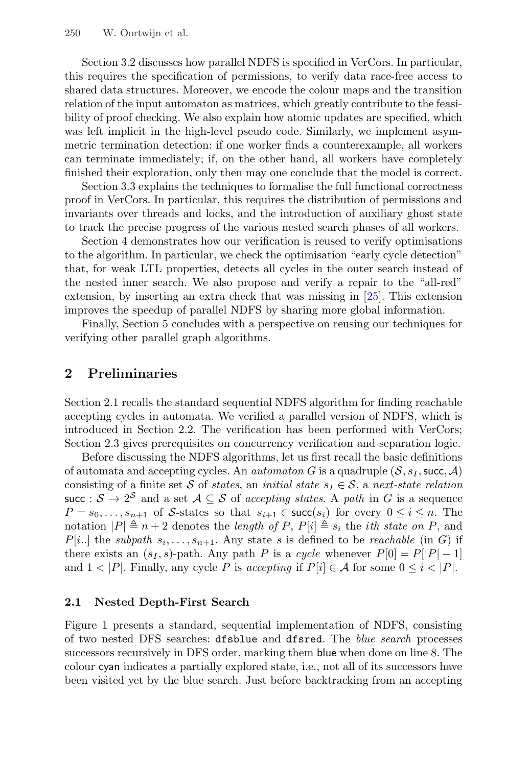Section 3.2 discusses how parallel NDFS is specified in VerCors. In particular, this requires the specification of permissions, to verify data race-free access to shared data structures. Moreover, we encode the colour maps and the transition relation of the input automaton as matrices, which greatly contribute to the feasibility of proof checking. We also explain how atomic updates are specified, which was left implicit in the high-level pseudo code. Similarly, we implement asymmetric termination detection: if one worker finds a counterexample, all workers can terminate immediately; if, on the other hand, all workers have completely finished their exploration, only then may one conclude that the model is correct.

[Section 3.3](#page-11-0) explains the techniques to formalise the full functional correctness proof in VerCors. In particular, this requires the distribution of permissions and invariants over threads and locks, and the introduction of auxiliary ghost state to track the precise progress of the various nested search phases of all workers.

[Section 4](#page-15-0) demonstrates how our verification is reused to verify optimisations to the algorithm. In particular, we check the optimisation "early cycle detection" that, for weak LTL properties, detects all cycles in the outer search instead of the nested inner search. We also propose and verify a repair to the "all-red" extension, by inserting an extra check that was missing in [\[25\]](#page-18-0). This extension improves the speedup of parallel NDFS by sharing more global information.

Finally, [Section 5](#page-16-0) concludes with a perspective on reusing our techniques for verifying other parallel graph algorithms.

# <span id="page-4-0"></span>2 Preliminaries

[Section 2.1](#page-4-1) recalls the standard sequential NDFS algorithm for finding reachable accepting cycles in automata. We verified a parallel version of NDFS, which is introduced in [Section 2.2.](#page-5-0) The verification has been performed with VerCors; [Section 2.3](#page-6-0) gives prerequisites on concurrency verification and separation logic.

Before discussing the NDFS algorithms, let us first recall the basic definitions of automata and accepting cycles. An *automaton G* is a quadruple  $(S, s_I, \text{succ}, A)$ consisting of a finite set S of states, an *initial state*  $s_I \in S$ , a next-state relation succ :  $S \to 2^S$  and a set  $A \subseteq S$  of accepting states. A path in G is a sequence  $P = s_0, \ldots, s_{n+1}$  of S-states so that  $s_{i+1} \in \text{succ}(s_i)$  for every  $0 \le i \le n$ . The notation  $|P| \triangleq n + 2$  denotes the length of P,  $P[i] \triangleq s_i$  the *i*th state on P, and  $P[i..]$  the subpath  $s_i, \ldots, s_{n+1}$ . Any state s is defined to be reachable (in G) if there exists an  $(s_I, s)$ -path. Any path P is a cycle whenever  $P[0] = P[|P| - 1]$ and  $1 < |P|$ . Finally, any cycle P is accepting if  $P[i] \in \mathcal{A}$  for some  $0 \leq i < |P|$ .

#### <span id="page-4-1"></span>2.1 Nested Depth-First Search

[Figure 1](#page-5-1) presents a standard, sequential implementation of NDFS, consisting of two nested DFS searches: dfsblue and dfsred. The blue search processes successors recursively in DFS order, marking them blue when done on [line 8.](#page-5-2) The colour cyan indicates a partially explored state, i.e., not all of its successors have been visited yet by the blue search. Just before backtracking from an accepting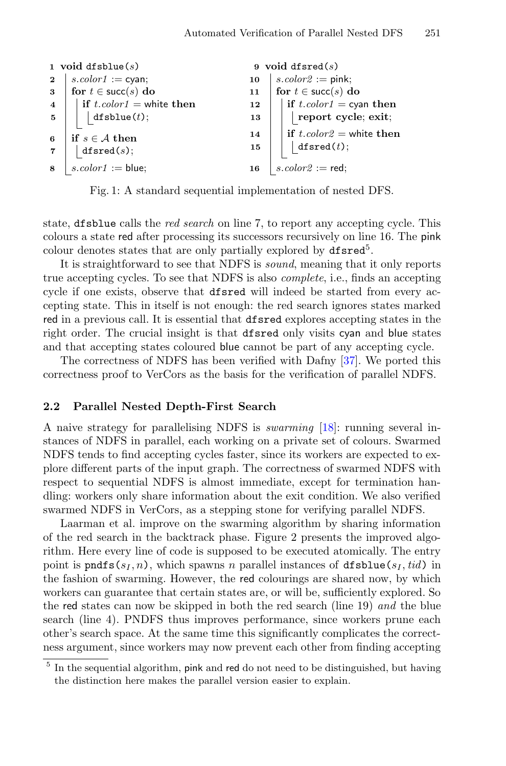<span id="page-5-1"></span>

|                | 1 void dfsblue $(s)$                     |    | 9 void dfsred $(s)$               |
|----------------|------------------------------------------|----|-----------------------------------|
| $\mathbf{2}$   | $s. color1 := \text{cyan};$              | 10 | $ $ s.color2 := pink;             |
| $\mathbf{3}$   | for $t \in \text{succ}(s)$ do            | 11 | for $t \in \text{succ}(s)$ do     |
|                | 4     if $t \text{.color1} =$ white then | 12 | if $t.color1 = cyan$ then         |
| $5-1$          | $\vert$ dfsblue(t);                      | 13 | report cycle; exit;               |
| 6              | if $s \in A$ then                        | 14 | if $t.\text{color2} =$ white then |
| $\overline{7}$ | $\vert$ dfsred(s);                       | 15 | $\vert$ dfsred $(t)$ ;            |
| 8              | $ s{\it color1} := \text{blue};$         | 16 | $s.\mathit{color2} := red;$       |

<span id="page-5-4"></span><span id="page-5-3"></span><span id="page-5-2"></span>Fig. 1: A standard sequential implementation of nested DFS.

state, dfsblue calls the red search on [line 7,](#page-5-3) to report any accepting cycle. This colours a state red after processing its successors recursively on [line 16.](#page-5-4) The pink colour denotes states that are only partially explored by  $d \texttt{fsred}^5$  $d \texttt{fsred}^5$ .

It is straightforward to see that NDFS is sound, meaning that it only reports true accepting cycles. To see that NDFS is also complete, i.e., finds an accepting cycle if one exists, observe that dfsred will indeed be started from every accepting state. This in itself is not enough: the red search ignores states marked red in a previous call. It is essential that dfsred explores accepting states in the right order. The crucial insight is that dfsred only visits cyan and blue states and that accepting states coloured blue cannot be part of any accepting cycle.

The correctness of NDFS has been verified with Dafny [\[37\]](#page-18-2). We ported this correctness proof to VerCors as the basis for the verification of parallel NDFS.

### <span id="page-5-0"></span>2.2 Parallel Nested Depth-First Search

A naive strategy for parallelising NDFS is swarming [\[18\]](#page-17-6): running several instances of NDFS in parallel, each working on a private set of colours. Swarmed NDFS tends to find accepting cycles faster, since its workers are expected to explore different parts of the input graph. The correctness of swarmed NDFS with respect to sequential NDFS is almost immediate, except for termination handling: workers only share information about the exit condition. We also verified swarmed NDFS in VerCors, as a stepping stone for verifying parallel NDFS.

Laarman et al. improve on the swarming algorithm by sharing information of the red search in the backtrack phase. [Figure 2](#page-6-1) presents the improved algorithm. Here every line of code is supposed to be executed atomically. The entry point is  $\text{pndfs}(s_I, n)$ , which spawns n parallel instances of  $\text{dfsblue}(s_I, tid)$  in the fashion of swarming. However, the red colourings are shared now, by which workers can guarantee that certain states are, or will be, sufficiently explored. So the red states can now be skipped in both the red search [\(line 19\)](#page-6-2) and the blue search [\(line 4\)](#page-6-3). PNDFS thus improves performance, since workers prune each other's search space. At the same time this significantly complicates the correctness argument, since workers may now prevent each other from finding accepting

<span id="page-5-5"></span><sup>&</sup>lt;sup>5</sup> In the sequential algorithm, pink and red do not need to be distinguished, but having the distinction here makes the parallel version easier to explain.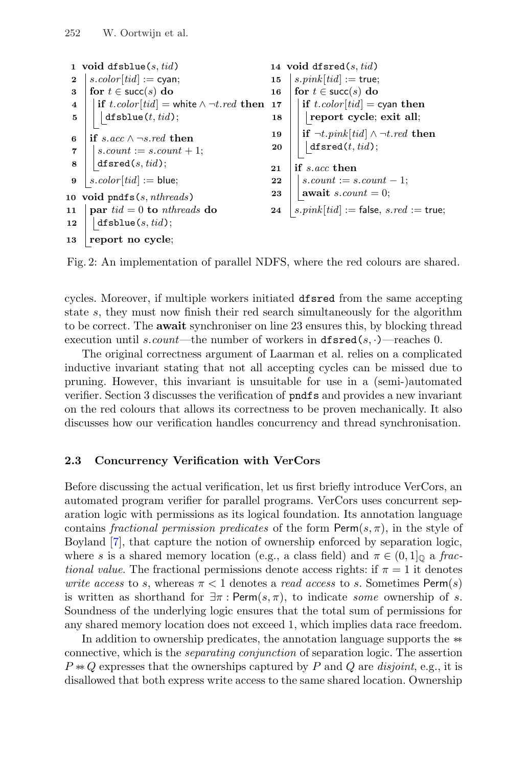```
1 void dfsblue(s, tid)2 |s{\it color}|tid| := \text{cyan};3 for t \in \text{succ}(s) do
 4 | if t.color [tid] = white \wedge \neg t.red then
 \mathbf{5} | | dfsblue(t, tid);
 6 if s.acc \wedge \neg s. \text{red} then
 \tau | s.count := s.count + 1;8 \mid dfsred(s, tid);9 |s{\it color}[tid] := \text{blue};10 void pndfs(s, nthreads)11 | par tid = 0 to nthreads do
12 dfsblue(s, tid);
13 report no cycle;
                                                   14 void dfsred(s, tid)15 | s. pink [tid] := true;
                                                   16 for t \in \text{succ}(s) do
                                                   17 | if t.\text{color}[tid] = \text{cyan} then
                                                   18 | | report cycle; exit all;
                                                   19 | if \neg t.\text{pink}[tid] \wedge \neg t.\text{red} then
                                                   20 dfsred(t, tid);
                                                   21 | if s.acc then
                                                   22 \mid s.count := s.count - 1;23 | await s.count = 0;
                                                   24 | s.pink[tid] := false, s.red := true;
```
<span id="page-6-7"></span><span id="page-6-5"></span><span id="page-6-4"></span>Fig. 2: An implementation of parallel NDFS, where the red colours are shared.

cycles. Moreover, if multiple workers initiated dfsred from the same accepting state s, they must now finish their red search simultaneously for the algorithm to be correct. The await synchroniser on [line 23](#page-6-4) ensures this, by blocking thread execution until s.count—the number of workers in  ${\rm d} \mathsf{fsred}(s, \cdot)$ —reaches 0.

The original correctness argument of Laarman et al. relies on a complicated inductive invariant stating that not all accepting cycles can be missed due to pruning. However, this invariant is unsuitable for use in a (semi-)automated verifier. [Section 3](#page-7-1) discusses the verification of pndfs and provides a new invariant on the red colours that allows its correctness to be proven mechanically. It also discusses how our verification handles concurrency and thread synchronisation.

# <span id="page-6-0"></span>2.3 Concurrency Verification with VerCors

Before discussing the actual verification, let us first briefly introduce VerCors, an automated program verifier for parallel programs. VerCors uses concurrent separation logic with permissions as its logical foundation. Its annotation language contains fractional permission predicates of the form  $\text{Perm}(s, \pi)$ , in the style of Boyland [\[7\]](#page-17-12), that capture the notion of ownership enforced by separation logic, where s is a shared memory location (e.g., a class field) and  $\pi \in (0,1]_0$  a fractional value. The fractional permissions denote access rights: if  $\pi = 1$  it denotes write access to s, whereas  $\pi < 1$  denotes a read access to s. Sometimes Perm(s) is written as shorthand for  $\exists \pi : \text{Perm}(s, \pi)$ , to indicate some ownership of s. Soundness of the underlying logic ensures that the total sum of permissions for any shared memory location does not exceed 1, which implies data race freedom.

In addition to ownership predicates, the annotation language supports the ∗∗ connective, which is the separating conjunction of separation logic. The assertion  $P * Q$  expresses that the ownerships captured by P and Q are disjoint, e.g., it is disallowed that both express write access to the same shared location. Ownership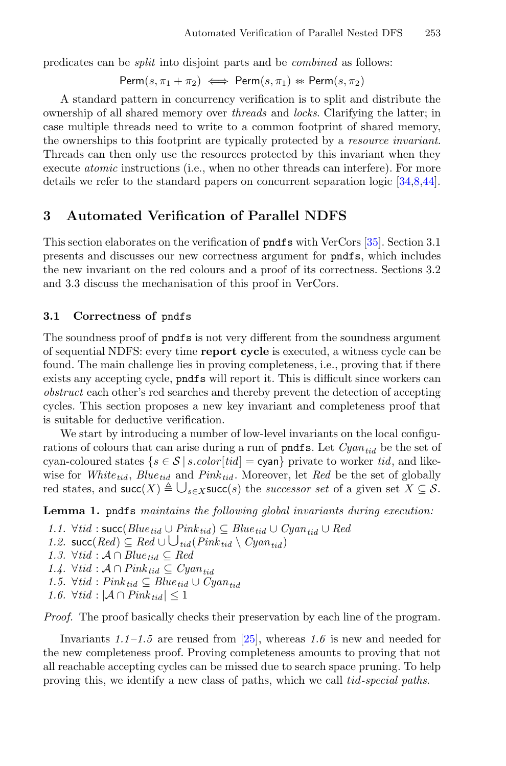predicates can be split into disjoint parts and be combined as follows:

$$
\mathsf{Perm}(s, \pi_1 + \pi_2) \iff \mathsf{Perm}(s, \pi_1) \ast \mathsf{Perm}(s, \pi_2)
$$

A standard pattern in concurrency verification is to split and distribute the ownership of all shared memory over threads and locks. Clarifying the latter; in case multiple threads need to write to a common footprint of shared memory, the ownerships to this footprint are typically protected by a resource invariant. Threads can then only use the resources protected by this invariant when they execute atomic instructions (i.e., when no other threads can interfere). For more details we refer to the standard papers on concurrent separation logic [\[34,](#page-18-13)[8,](#page-17-13)[44\]](#page-19-7).

# <span id="page-7-1"></span>3 Automated Verification of Parallel NDFS

This section elaborates on the verification of pndfs with VerCors [\[35\]](#page-18-14). [Section 3.1](#page-7-0) presents and discusses our new correctness argument for pndfs, which includes the new invariant on the red colours and a proof of its correctness. Sections [3.2](#page-9-0) and [3.3](#page-11-0) discuss the mechanisation of this proof in VerCors.

#### <span id="page-7-0"></span>3.1 Correctness of pndfs

The soundness proof of pndfs is not very different from the soundness argument of sequential NDFS: every time report cycle is executed, a witness cycle can be found. The main challenge lies in proving completeness, i.e., proving that if there exists any accepting cycle, pndfs will report it. This is difficult since workers can obstruct each other's red searches and thereby prevent the detection of accepting cycles. This section proposes a new key invariant and completeness proof that is suitable for deductive verification.

We start by introducing a number of low-level invariants on the local configurations of colours that can arise during a run of **pndfs**. Let  $Cyan_{tid}$  be the set of cyan-coloured states  $\{s \in \mathcal{S} \mid s{\text{-}color}[tid] = \text{cyan}\}$  private to worker tid, and likewise for  $White_{tid}$ ,  $Blue_{tid}$  and  $Pink_{tid}$ . Moreover, let Red be the set of globally red states, and  $succ(X) \triangleq \bigcup_{s \in X} succ(s)$  the *successor set* of a given set  $X \subseteq S$ .

<span id="page-7-5"></span>Lemma 1. pndfs maintains the following global invariants during execution:

- <span id="page-7-2"></span>1.1.  $\forall tid : succ(Blue_{tid} \cup Pink_{tid}) \subseteq Blue_{tid} \cup Cyan_{tid} \cup Red$
- <span id="page-7-6"></span>1.2. succ(Red)  $\subseteq$  Red  $\cup \bigcup_{tid} (Pink_{tid} \setminus Cyan_{tid})$
- <span id="page-7-7"></span>1.3.  $\forall tid : A \cap Blue_{tid} \subseteq Red$
- <span id="page-7-8"></span>1.4.  $\forall tid : A \cap Pink_{tid} ⊆ Cyan_{tid}$
- <span id="page-7-3"></span>1.5.  $\forall tid : Pink_{tid} ⊆ Blue_{tid} ∪ Cyan_{tid}$
- <span id="page-7-4"></span>1.6.  $\forall tid : |A \cap Pink_{tid}| \leq 1$

Proof. The proof basically checks their preservation by each line of the program.

Invariants [1.1](#page-7-2)–[1.5](#page-7-3) are reused from [\[25\]](#page-18-0), whereas [1.6](#page-7-4) is new and needed for the new completeness proof. Proving completeness amounts to proving that not all reachable accepting cycles can be missed due to search space pruning. To help proving this, we identify a new class of paths, which we call tid-special paths.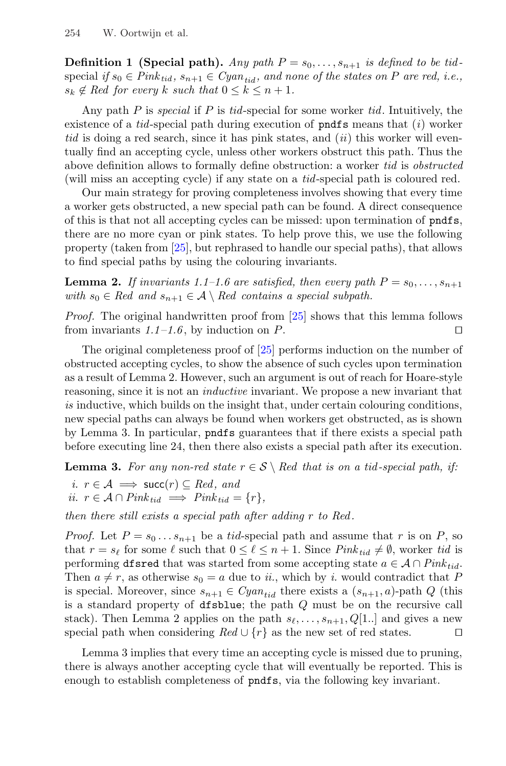**Definition 1** (Special path). Any path  $P = s_0, \ldots, s_{n+1}$  is defined to be tidspecial if  $s_0 \in \text{Pink}_{tid}, s_{n+1} \in \text{Cyan}_{tid},$  and none of the states on P are red, i.e.,  $s_k \notin Red$  for every k such that  $0 \leq k \leq n+1$ .

Any path  $P$  is special if  $P$  is tid-special for some worker tid. Intuitively, the existence of a tid-special path during execution of **pndfs** means that  $(i)$  worker tid is doing a red search, since it has pink states, and  $(ii)$  this worker will eventually find an accepting cycle, unless other workers obstruct this path. Thus the above definition allows to formally define obstruction: a worker tid is obstructed (will miss an accepting cycle) if any state on a tid-special path is coloured red.

Our main strategy for proving completeness involves showing that every time a worker gets obstructed, a new special path can be found. A direct consequence of this is that not all accepting cycles can be missed: upon termination of pndfs, there are no more cyan or pink states. To help prove this, we use the following property (taken from [\[25\]](#page-18-0), but rephrased to handle our special paths), that allows to find special paths by using the colouring invariants.

<span id="page-8-1"></span>**Lemma 2.** If invariants [1.1](#page-7-2)[–1.6](#page-7-4) are satisfied, then every path  $P = s_0, \ldots, s_{n+1}$ with  $s_0 \in Red$  and  $s_{n+1} \in A \setminus Red$  contains a special subpath.

Proof. The original handwritten proof from [\[25\]](#page-18-0) shows that this lemma follows from invariants  $1.1-1.6$  $1.1-1.6$  $1.1-1.6$ , by induction on P.

The original completeness proof of [\[25\]](#page-18-0) performs induction on the number of obstructed accepting cycles, to show the absence of such cycles upon termination as a result of [Lemma 2.](#page-8-1) However, such an argument is out of reach for Hoare-style reasoning, since it is not an inductive invariant. We propose a new invariant that is inductive, which builds on the insight that, under certain colouring conditions, new special paths can always be found when workers get obstructed, as is shown by [Lemma 3.](#page-8-2) In particular, pndfs guarantees that if there exists a special path before executing [line 24,](#page-6-5) then there also exists a special path after its execution.

<span id="page-8-2"></span>**Lemma 3.** For any non-red state  $r \in S \setminus \text{Red that is on a tid special path, if:}$ 

- <span id="page-8-4"></span>i.  $r \in A \implies \text{succ}(r) \subseteq Red$ , and
- <span id="page-8-3"></span>ii.  $r \in \mathcal{A} \cap Pink_{tid} \implies Pink_{tid} = \{r\},\$

then there still exists a special path after adding r to Red .

*Proof.* Let  $P = s_0 \dots s_{n+1}$  be a *tid*-special path and assume that r is on P, so that  $r = s_\ell$  for some  $\ell$  such that  $0 \leq \ell \leq n + 1$ . Since Pink<sub>tid</sub>  $\neq \emptyset$ , worker tid is performing df stred that was started from some accepting state  $a \in A \cap Pink_{tid}$ . Then  $a \neq r$ , as otherwise  $s_0 = a$  due to [ii.](#page-8-3), which by [i.](#page-8-4) would contradict that P is special. Moreover, since  $s_{n+1} \in Cyan_{tid}$  there exists a  $(s_{n+1}, a)$ -path Q (this is a standard property of dfsblue; the path Q must be on the recursive call stack). Then [Lemma 2](#page-8-1) applies on the path  $s_{\ell}, \ldots, s_{n+1}, Q[1, .]$  and gives a new special path when considering  $Red \cup \{r\}$  as the new set of red states.  $\Box$ 

<span id="page-8-0"></span>[Lemma 3](#page-8-2) implies that every time an accepting cycle is missed due to pruning, there is always another accepting cycle that will eventually be reported. This is enough to establish completeness of pndfs, via the following key invariant.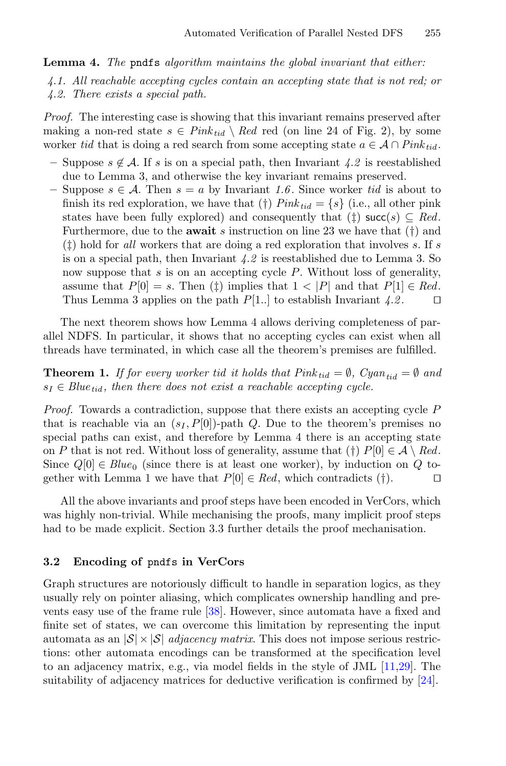#### Lemma 4. The pndfs algorithm maintains the global invariant that either:

<span id="page-9-3"></span><span id="page-9-1"></span>4.1. All reachable accepting cycles contain an accepting state that is not red; or 4.2. There exists a special path.

Proof. The interesting case is showing that this invariant remains preserved after making a non-red state  $s \in *Pinkt_{tid}* \setminus Red$  red (on [line 24](#page-6-5) of [Fig. 2\)](#page-6-1), by some worker tid that is doing a red search from some accepting state  $a \in \mathcal{A} \cap Pink_{tid}$ .

- Suppose  $s \notin A$ . If s is on a special path, then [Invariant](#page-9-1) 4.2 is reestablished due to [Lemma 3,](#page-8-2) and otherwise the key invariant remains preserved.
- Suppose  $s \in \mathcal{A}$ . Then  $s = a$  by [Invariant](#page-7-4) 1.6. Since worker tid is about to finish its red exploration, we have that (†)  $Pink_{tid} = \{s\}$  (i.e., all other pink states have been fully explored) and consequently that ( $\ddagger$ ) succ(s)  $\subseteq$  Red. Furthermore, due to the **await** s instruction on [line 23](#page-6-4) we have that  $(\dagger)$  and  $(1)$  $(1)$  hold for all workers that are doing a red exploration that involves s. If s is on a special path, then [Invariant](#page-9-1)  $4.2$  is reestablished due to [Lemma 3.](#page-8-2) So now suppose that  $s$  is on an accepting cycle  $P$ . Without loss of generality, assume that  $P[0] = s$ . Then [\(](#page-9-1) $\ddagger$ ) implies that  $1 < |P|$  and that  $P[1] \in Red$ . Thus [Lemma 3](#page-8-2) applies on the path  $P[1]$ . to establish [Invariant](#page-9-1)  $\mu \ell$ .

The next theorem shows how [Lemma 4](#page-8-0) allows deriving completeness of parallel NDFS. In particular, it shows that no accepting cycles can exist when all threads have terminated, in which case all the theorem's premises are fulfilled.

<span id="page-9-2"></span>**Theorem 1.** If for every worker tid it holds that  $Pink_{tid} = \emptyset$ ,  $Cyan_{tid} = \emptyset$  and  $s_I \in Blue_{tid}$ , then there does not exist a reachable accepting cycle.

Proof. Towards a contradiction, suppose that there exists an accepting cycle P that is reachable via an  $(s_I, P[0])$ -path Q. Due to the theorem's premises no special paths can exist, and therefore by [Lemma 4](#page-8-0) there is an accepting state on P that is not red. Without loss of generality, assume that (†)  $P[0] \in \mathcal{A} \setminus \text{Red}$ . Since  $Q[0] \in Blue_0$  (since there is at least one worker), by induction on Q to-gether with [Lemma 1](#page-7-5) we have that  $P[0] \in Red$ , which contradicts (†[\).](#page-9-2)

All the above invariants and proof steps have been encoded in VerCors, which was highly non-trivial. While mechanising the proofs, many implicit proof steps had to be made explicit. [Section 3.3](#page-11-0) further details the proof mechanisation.

#### <span id="page-9-0"></span>3.2 Encoding of pndfs in VerCors

Graph structures are notoriously difficult to handle in separation logics, as they usually rely on pointer aliasing, which complicates ownership handling and prevents easy use of the frame rule [\[38\]](#page-18-9). However, since automata have a fixed and finite set of states, we can overcome this limitation by representing the input automata as an  $|\mathcal{S}| \times |\mathcal{S}|$  adjacency matrix. This does not impose serious restrictions: other automata encodings can be transformed at the specification level to an adjacency matrix, e.g., via model fields in the style of JML [\[11,](#page-17-14)[29\]](#page-18-15). The suitability of adjacency matrices for deductive verification is confirmed by [\[24\]](#page-18-16).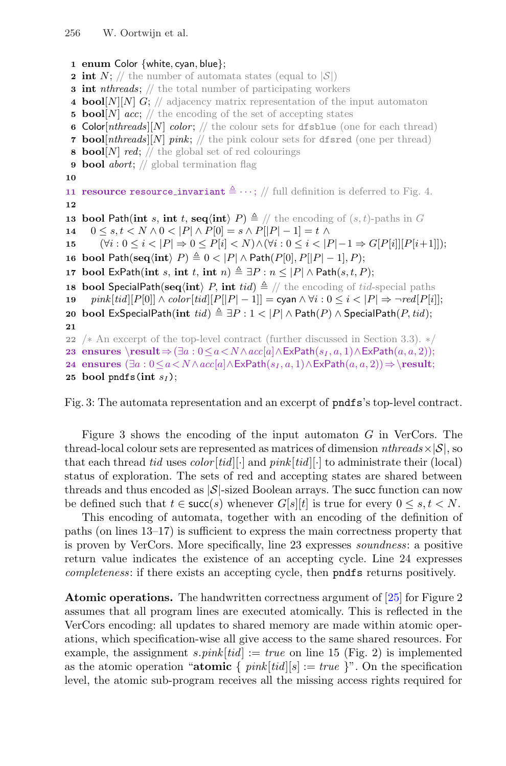<span id="page-10-8"></span><span id="page-10-7"></span><span id="page-10-6"></span><span id="page-10-5"></span><span id="page-10-1"></span><span id="page-10-0"></span>1 enum Color {white, cyan, blue}; **2 int** N; // the number of automata states (equal to  $|\mathcal{S}|$ ) **3 int** *nthreads*; // the total number of participating workers **4 bool**[N][N] G; // adjacency matrix representation of the input automaton **5 bool**[N]  $acc$ ; // the encoding of the set of accepting states 6 Color $[nthreads][N]$  color; // the colour sets for dfsblue (one for each thread) **7 bool**[*nthreads*][*N*] *pink*; // the pink colour sets for df sred (one per thread) **8 bool**[N] red; // the global set of red colourings **9 bool abort;**  $//$  global termination flag 10 11 resource resource invariant  $\triangleq \cdots$ ; // full definition is deferred to [Fig. 4.](#page-12-0) 12 13 bool Path(int s, int t, seq(int)  $P \triangleq$  // the encoding of  $(s, t)$ -paths in G 14  $0 \le s, t \le N \wedge 0 < |P| \wedge P[0] = s \wedge P[|P| - 1] = t \wedge$ 15  $(\forall i : 0 \le i < |P| \Rightarrow 0 \le P[i] < N) \wedge (\forall i : 0 \le i < |P| - 1 \Rightarrow G[P[i]][P[i+1]]);$ 16 bool Path(seq $\langle \text{int} \rangle P$ )  $\triangleq 0$  <  $|P| \wedge \text{Path}(P[0], P[|P| - 1], P);$ 17 bool ExPath(int s, int t, int n)  $\triangleq \exists P : n \leq |P| \land \mathsf{Path}(s, t, P);$ 18 bool SpecialPath(seq(int) P, int tid)  $\triangleq$  // the encoding of tid-special paths 19  $pink[tid][P[0]] \wedge color[tid][P[|P| - 1]] = \text{cyan} \wedge \forall i : 0 \leq i < |P| \Rightarrow \neg red[P[i]];$ 20 bool ExSpecialPath(int tid)  $\triangleq \exists P : 1 < |P| \land$  Path(P)  $\land$  SpecialPath(P, tid); 21 22 /∗ An excerpt of the top-level contract (further discussed in [Section 3.3\)](#page-11-0). ∗/ 23 ensures \result  $\Rightarrow (\exists a : 0 \le a < N \land acc[a] \land \text{ExPath}(s_I, a, 1) \land \text{ExPath}(a, a, 2));$ 24 ensures  $(\exists a : 0 \le a < N \land acc[a] \land \text{ExPath}(s_I, a, 1) \land \text{ExPath}(a, a, 2)) \Rightarrow \text{result};$ 25 bool pndfs(int  $s_I$ );

<span id="page-10-9"></span><span id="page-10-4"></span><span id="page-10-3"></span><span id="page-10-2"></span>Fig. 3: The automata representation and an excerpt of pndfs's top-level contract.

[Figure 3](#page-10-0) shows the encoding of the input automaton G in VerCors. The thread-local colour sets are represented as matrices of dimension nthreads  $\times |\mathcal{S}|$ , so that each thread tid uses  $color[tid][\cdot]$  and  $pink[tid][\cdot]$  to administrate their (local) status of exploration. The sets of red and accepting states are shared between threads and thus encoded as  $|\mathcal{S}|$ -sized Boolean arrays. The succ function can now be defined such that  $t \in \text{succ}(s)$  whenever  $G[s][t]$  is true for every  $0 \leq s, t \leq N$ .

This encoding of automata, together with an encoding of the definition of paths (on lines [13–](#page-10-1)[17\)](#page-10-2) is sufficient to express the main correctness property that is proven by VerCors. More specifically, [line 23](#page-10-3) expresses soundness: a positive return value indicates the existence of an accepting cycle. [Line 24](#page-10-4) expresses completeness: if there exists an accepting cycle, then pndfs returns positively.

Atomic operations. The handwritten correctness argument of [\[25\]](#page-18-0) for [Figure 2](#page-6-1) assumes that all program lines are executed atomically. This is reflected in the VerCors encoding: all updates to shared memory are made within atomic operations, which specification-wise all give access to the same shared resources. For example, the assignment s.pink[tid]  $:= true$  on [line 15](#page-6-6) [\(Fig. 2\)](#page-6-1) is implemented as the atomic operation "atomic {  $\text{pink}[tid][s] := \text{true}$  }". On the specification level, the atomic sub-program receives all the missing access rights required for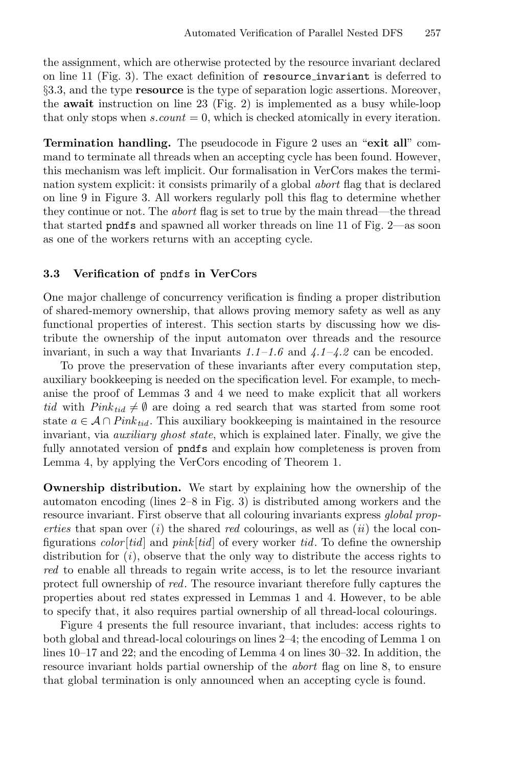the assignment, which are otherwise protected by the resource invariant declared on [line 11](#page-10-5) [\(Fig. 3\)](#page-10-0). The exact definition of resource invariant is deferred to §[3.3,](#page-11-0) and the type resource is the type of separation logic assertions. Moreover, the await instruction on [line 23](#page-6-4) [\(Fig. 2\)](#page-6-1) is implemented as a busy while-loop that only stops when  $s.count = 0$ , which is checked atomically in every iteration.

Termination handling. The pseudocode in [Figure 2](#page-6-1) uses an "exit all" command to terminate all threads when an accepting cycle has been found. However, this mechanism was left implicit. Our formalisation in VerCors makes the termination system explicit: it consists primarily of a global abort flag that is declared on [line 9](#page-10-6) in [Figure 3.](#page-10-0) All workers regularly poll this flag to determine whether they continue or not. The abort flag is set to true by the main thread—the thread that started pndfs and spawned all worker threads on [line 11](#page-6-7) of [Fig. 2—](#page-6-1)as soon as one of the workers returns with an accepting cycle.

### <span id="page-11-0"></span>3.3 Verification of pndfs in VerCors

One major challenge of concurrency verification is finding a proper distribution of shared-memory ownership, that allows proving memory safety as well as any functional properties of interest. This section starts by discussing how we distribute the ownership of the input automaton over threads and the resource invariant, in such a way that Invariants  $1.1 - 1.6$  $1.1 - 1.6$  $1.1 - 1.6$  and  $4.1 - 4.2$  $4.1 - 4.2$  $4.1 - 4.2$  can be encoded.

To prove the preservation of these invariants after every computation step, auxiliary bookkeeping is needed on the specification level. For example, to mechanise the proof of Lemmas [3](#page-8-2) and [4](#page-8-0) we need to make explicit that all workers *tid* with  $Pink_{tid} \neq \emptyset$  are doing a red search that was started from some root state  $a \in A \cap Pink_{tid}$ . This auxiliary bookkeeping is maintained in the resource invariant, via *auxiliary ghost state*, which is explained later. Finally, we give the fully annotated version of pndfs and explain how completeness is proven from [Lemma 4,](#page-8-0) by applying the VerCors encoding of [Theorem 1.](#page-9-2)

Ownership distribution. We start by explaining how the ownership of the automaton encoding (lines [2–](#page-10-7)[8](#page-10-8) in [Fig. 3\)](#page-10-0) is distributed among workers and the resource invariant. First observe that all colouring invariants express global properties that span over  $(i)$  the shared red colourings, as well as  $(ii)$  the local configurations  $color[tid]$  and  $pink[tid]$  of every worker tid. To define the ownership distribution for  $(i)$ , observe that the only way to distribute the access rights to red to enable all threads to regain write access, is to let the resource invariant protect full ownership of red. The resource invariant therefore fully captures the properties about red states expressed in Lemmas [1](#page-7-5) and [4.](#page-8-0) However, to be able to specify that, it also requires partial ownership of all thread-local colourings.

[Figure 4](#page-12-0) presents the full resource invariant, that includes: access rights to both global and thread-local colourings on lines [2–](#page-12-1)[4;](#page-12-2) the encoding of [Lemma 1](#page-7-5) on lines [10](#page-12-3)[–17](#page-12-4) and [22;](#page-12-5) and the encoding of [Lemma 4](#page-8-0) on lines [30–](#page-12-6)[32.](#page-12-7) In addition, the resource invariant holds partial ownership of the abort flag on [line 8,](#page-12-8) to ensure that global termination is only announced when an accepting cycle is found.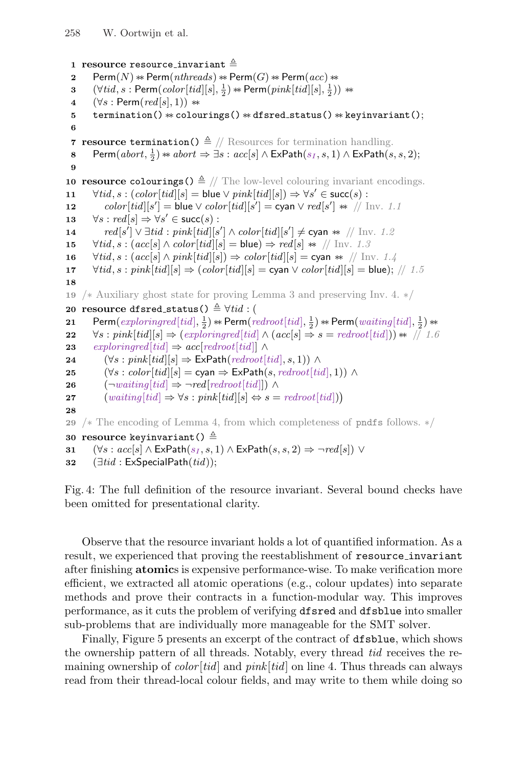```
1 resource resource invariant \triangleq2 Perm(N) ** Perm(nthreads) ** Perm(G) ** Perm(acc) **
 3 (\forall tid, s : \text{Perm}(color[tid][s], \frac{1}{2}) * \text{Perm}(pink[tid][s], \frac{1}{2})) *4 (\forall s : \text{Perm}(red[s], 1)) **
 5 termination() ∗∗ colourings() ∗∗ dfsred status() ∗∗ keyinvariant();
 6
 7 resource termination() \triangleq // Resources for termination handling.
 8 Perm(\textit{abort}, \frac{1}{2}) * abort \Rightarrow \exists s : \textit{acc}[s] \land \textsf{ExPath}(s_1, s, 1) \land \textsf{ExPath}(s, s, 2);9
10 resource colourings() \triangleq // The low-level colouring invariant encodings.
11 \forall tid, s : (color[tid][s] = blue \vee pink[tid][s]) \Rightarrow \forall s' \in succ(s):12  Inv. 1.113 \forall s : red[s] \Rightarrow \forall s' \in succ(s):
14  Inv. } 1.215  Inv. } 1.316 \forall tid, s : (acc[s] \wedge pink[tid][s]) \Rightarrow color[tid][s] = \text{cyan} \ast \text{mm} Inv. 1.4
17 1.518
19 /∗ Auxiliary ghost state for proving Lemma 3 and preserving Inv. 4. ∗/
20 resource dfsred_status() \triangleq \forall tid : (
21 Perm(\textit{exploringred}[tid], \frac{1}{2}) ** Perm(\textit{redroot}[tid], \frac{1}{2}) ** Perm(\textit{waiting}[tid], \frac{1}{2}) **
22 1.623 exploringred[tid] \Rightarrow acc[redroot[tid]] ∧
24 (\forall s : pink[tid][s] \Rightarrow \text{ExPath}(redroot[tid], s, 1)) \wedge25 (\forall s : color[tid][s] = \text{cyan} \Rightarrow \text{ExPath}(s, redroot[tid], 1)) \wedge26 (\neg waiting[tid] \Rightarrow \neg red[redroot[tid]]) \wedge27 (waiting[tid] \Rightarrow \forall s : pink[tid][s] \Leftrightarrow s = redroot[tid])28
29 /∗ The encoding of Lemma 4, from which completeness of pndfs follows. ∗/
30 resource keyinvariant() \triangleq31 (\forall s : acc[s] \land \textsf{ExPath}(s_I, s, 1) \land \textsf{ExPath}(s, s, 2) \Rightarrow \neg red[s]) \lor32 (\exists tid : \mathsf{ExSpecialPath}(tid));
```
<span id="page-12-10"></span><span id="page-12-9"></span><span id="page-12-7"></span><span id="page-12-6"></span><span id="page-12-5"></span>Fig. 4: The full definition of the resource invariant. Several bound checks have been omitted for presentational clarity.

Observe that the resource invariant holds a lot of quantified information. As a result, we experienced that proving the reestablishment of resource invariant after finishing atomics is expensive performance-wise. To make verification more efficient, we extracted all atomic operations (e.g., colour updates) into separate methods and prove their contracts in a function-modular way. This improves performance, as it cuts the problem of verifying dfsred and dfsblue into smaller sub-problems that are individually more manageable for the SMT solver.

Finally, [Figure 5](#page-13-0) presents an excerpt of the contract of dfsblue, which shows the ownership pattern of all threads. Notably, every thread tid receives the remaining ownership of  $color[tid]$  and  $pink[tid]$  on [line 4.](#page-13-1) Thus threads can always read from their thread-local colour fields, and may write to them while doing so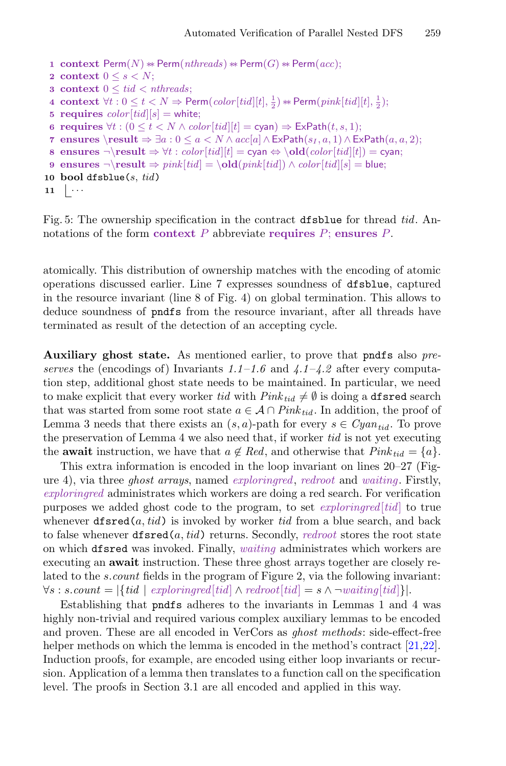```
1 context \mathsf{Perm}(N) \ast \mathsf{Perm}(nthreads) \ast \mathsf{Perm}(G) \ast \mathsf{Perm}(acc);2 context 0 \leq s \leq N;
  3 context 0 \leq tid \leq nthreads;
   4 context \forall t: 0 \le t < N \Rightarrow \text{Perm}(color[tid][t], \frac{1}{2}) \ast\text{Perm}(pink[tid][t], \frac{1}{2});5 requires color[tid][s] = white;6 requires \forall t : (0 \le t \le N \wedge color[tid][t] = \text{cyan}) \Rightarrow \text{ExPath}(t, s, 1);7 ensures \result \Rightarrow \exists a : 0 \le a < N \land acc[a] \land \text{ExPath}(s_I, a, 1) \land \text{ExPath}(a, a, 2);8 ensures \neg \result \Rightarrow \forall t : color[tid][t] = cyan \Leftrightarrow \old(color[tid][t]) = cyan;9 ensures \n\rightharpoonup \rightharpoonup \rightharpoonup \rightharpoonup \rightharpoonup \rightharpoonup \rightharpoonup \rightharpoonup \rightharpoonup \rightharpoonup \rightharpoonup \rightharpoonup \rightharpoonup \rightharpoonup \rightharpoonup \rightharpoonup \rightharpoonup \rightharpoonup \rightharpoonup \rightharpoonup \rightharpoonup \rightharpoonup \rightharpoonup \rightharpoonup \rightharpoonup \rightharpoonup \rightharpoonup \rightharpoonup \rightharpoonup \rightharpoonup \rightharpoonup \rightharpoonup \rightharpoonup \rightharpoonup \rightharpoonup10 bool dfsblue(s, tid)\mathbf{11} \cdots
```
Fig. 5: The ownership specification in the contract dfsblue for thread tid. Annotations of the form context  $P$  abbreviate requires  $P$ ; ensures  $P$ .

atomically. This distribution of ownership matches with the encoding of atomic operations discussed earlier. [Line 7](#page-13-2) expresses soundness of dfsblue, captured in the resource invariant [\(line 8](#page-12-8) of [Fig. 4\)](#page-12-0) on global termination. This allows to deduce soundness of pndfs from the resource invariant, after all threads have terminated as result of the detection of an accepting cycle.

Auxiliary ghost state. As mentioned earlier, to prove that pndfs also preserves the (encodings of) Invariants  $1.1 - 1.6$  $1.1 - 1.6$  $1.1 - 1.6$  and  $4.1 - 4.2$  $4.1 - 4.2$  $4.1 - 4.2$  after every computation step, additional ghost state needs to be maintained. In particular, we need to make explicit that every worker tid with  $Pink_{tid} \neq \emptyset$  is doing a df sred search that was started from some root state  $a \in A \cap Pink_{tid}$ . In addition, the proof of [Lemma 3](#page-8-2) needs that there exists an  $(s, a)$ -path for every  $s \in Cyan_{tid}$ . To prove the preservation of [Lemma 4](#page-8-0) we also need that, if worker tid is not yet executing the **await** instruction, we have that  $a \notin Red$ , and otherwise that  $Pink_{tid} = \{a\}.$ 

This extra information is encoded in the loop invariant on lines [20](#page-12-9)[–27](#page-12-10) [\(Fig](#page-12-0)[ure 4\)](#page-12-0), via three ghost arrays, named exploringred, redroot and waiting. Firstly, exploringred administrates which workers are doing a red search. For verification purposes we added ghost code to the program, to set  $exploringrel[tid]$  to true whenever  $\text{d} \text{f} \text{s} \text{r}$  and  $(a, tid)$  is invoked by worker tid from a blue search, and back to false whenever  $\text{d} \text{f} \text{s} \text{r} \text{d} a$ ,  $tid$ ) returns. Secondly, redroot stores the root state on which dfsred was invoked. Finally, waiting administrates which workers are executing an await instruction. These three ghost arrays together are closely related to the s.count fields in the program of [Figure 2,](#page-6-1) via the following invariant:  $\forall s : s \text{.count} = |\{tid \mid explored[tid] \land redroot[tid] = s \land \neg waiting[tid]\}|.$ 

Establishing that pndfs adheres to the invariants in Lemmas [1](#page-7-5) and [4](#page-8-0) was highly non-trivial and required various complex auxiliary lemmas to be encoded and proven. These are all encoded in VerCors as ghost methods: side-effect-free helper methods on which the lemma is encoded in the method's contract [\[21,](#page-18-17)[22\]](#page-18-18). Induction proofs, for example, are encoded using either loop invariants or recursion. Application of a lemma then translates to a function call on the specification level. The proofs in [Section 3.1](#page-7-0) are all encoded and applied in this way.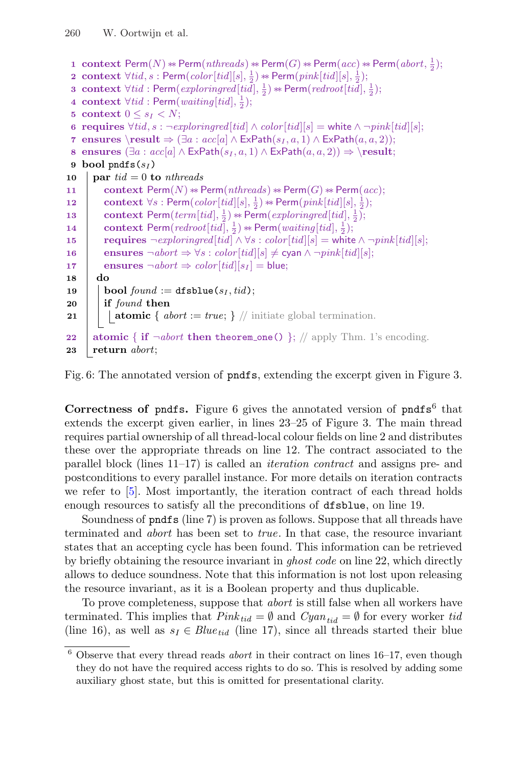```
1 context \text{Perm}(N) \ast \text{Perm}(nthreads) \ast \text{Perm}(G) \ast \text{Perm}(acc) \ast \text{Perm}(abort, \frac{1}{2});2 context \forall tid, s : \mathsf{Perm}(color[tid][s], \frac{1}{2}) * \mathsf{Perm}(pink[tid][s], \frac{1}{2});3 context \forall tid : \mathsf{Perm}(exploringred[tid], \frac{1}{2}) * \mathsf{Perm}(redroot[tid], \frac{1}{2});4 context \forall tid : Perm(waiting[tid], \frac{1}{2});5 context 0 \leq s_I < N;
 6 requires \forall tid, s : \neg \text{explorinared}[tid] \land \text{color}[tid][s] = \text{white} \land \neg \text{pink}[tid][s];7 ensures \result \Rightarrow \exists a : acc[a] \land \text{ExPath}(s_I, a, 1) \land \text{ExPath}(a, a, 2));8 ensures (∃a : acc[a] ∧ ExPath(s<sub>I</sub>, a, 1) ∧ ExPath(a, a, 2)) ⇒ \result;9 bool pndfs(s_I)10 par tid = 0 to nthreads
11 context Perm(N) * Perm(nthreads) * Perm(G) * Perm(ac);
12 context \forall s : \text{Perm}(color[tid][s], \frac{1}{2}) * \text{Perm}(pink[tid][s], \frac{1}{2});13 context Perm(term[tid], \frac{1}{2}) * Perm(exploringred[tid], \frac{1}{2});
14 context Perm(\text{redroot}[tid], \frac{1}{2}) \ast Perm(\text{waiting}[tid], \frac{1}{2});
15 requires \neg \text{exploringred}[tid] \wedge \forall s : color[tid][s] = \text{white} \wedge \neg \text{pink}[tid][s];16 ensures \neg abort \Rightarrow \forall s : color[tid][s] \neq \text{cyan} \land \neg pink[tid][s];17 ensures \neg abort \Rightarrow color[tid][s_I] = blue;18 do
19 | bool found := dfsblue(s_I, tid);
20 if found then
21 \vert \vert atomic { abort := true; } // initiate global termination.
22 atomic { if \negabort Thm. 1's encoding.
23 return abort;
```
<span id="page-14-9"></span><span id="page-14-8"></span><span id="page-14-6"></span><span id="page-14-5"></span>Fig. 6: The annotated version of pndfs, extending the excerpt given in [Figure 3.](#page-10-0)

Correctness of pndfs. [Figure 6](#page-14-0) gives the annotated version of pndfs $<sup>6</sup>$  $<sup>6</sup>$  $<sup>6</sup>$  that</sup> extends the excerpt given earlier, in lines [23–](#page-10-3)[25](#page-10-9) of [Figure 3.](#page-10-0) The main thread requires partial ownership of all thread-local colour fields on [line 2](#page-14-2) and distributes these over the appropriate threads on [line 12.](#page-14-3) The contract associated to the parallel block (lines [11–](#page-14-4)[17\)](#page-14-5) is called an iteration contract and assigns pre- and postconditions to every parallel instance. For more details on iteration contracts we refer to [\[5\]](#page-17-15). Most importantly, the iteration contract of each thread holds enough resources to satisfy all the preconditions of dfsblue, on [line 19.](#page-14-6)

Soundness of pndfs [\(line 7\)](#page-14-7) is proven as follows. Suppose that all threads have terminated and abort has been set to true. In that case, the resource invariant states that an accepting cycle has been found. This information can be retrieved by briefly obtaining the resource invariant in ghost code on [line 22,](#page-14-8) which directly allows to deduce soundness. Note that this information is not lost upon releasing the resource invariant, as it is a Boolean property and thus duplicable.

To prove completeness, suppose that abort is still false when all workers have terminated. This implies that  $Pink_{tid} = \emptyset$  and  $Cyan_{tid} = \emptyset$  for every worker tid [\(line 16\)](#page-14-9), as well as  $s_I \in Blue_{tid}$  [\(line 17\)](#page-14-5), since all threads started their blue

<span id="page-14-1"></span> $6$  Observe that every thread reads *abort* in their contract on lines [16–](#page-14-9)[17,](#page-14-5) even though they do not have the required access rights to do so. This is resolved by adding some auxiliary ghost state, but this is omitted for presentational clarity.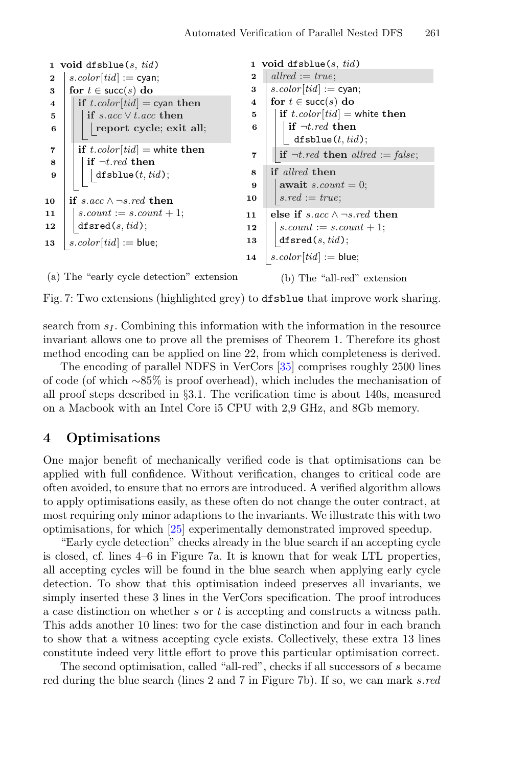<span id="page-15-1"></span>

Fig. 7: Two extensions (highlighted grey) to dfsblue that improve work sharing.

search from  $s_I$ . Combining this information with the information in the resource invariant allows one to prove all the premises of [Theorem 1.](#page-9-2) Therefore its ghost method encoding can be applied on [line 22,](#page-14-8) from which completeness is derived.

The encoding of parallel NDFS in VerCors [\[35\]](#page-18-14) comprises roughly 2500 lines of code (of which ∼85% is proof overhead), which includes the mechanisation of all proof steps described in §[3.1.](#page-7-0) The verification time is about 140s, measured on a Macbook with an Intel Core i5 CPU with 2,9 GHz, and 8Gb memory.

# <span id="page-15-0"></span>4 Optimisations

One major benefit of mechanically verified code is that optimisations can be applied with full confidence. Without verification, changes to critical code are often avoided, to ensure that no errors are introduced. A verified algorithm allows to apply optimisations easily, as these often do not change the outer contract, at most requiring only minor adaptions to the invariants. We illustrate this with two optimisations, for which [\[25\]](#page-18-0) experimentally demonstrated improved speedup.

"Early cycle detection" checks already in the blue search if an accepting cycle is closed, cf. lines [4–6](#page-15-1) in [Figure 7a.](#page-15-1) It is known that for weak LTL properties, all accepting cycles will be found in the blue search when applying early cycle detection. To show that this optimisation indeed preserves all invariants, we simply inserted these 3 lines in the VerCors specification. The proof introduces a case distinction on whether s or t is accepting and constructs a witness path. This adds another 10 lines: two for the case distinction and four in each branch to show that a witness accepting cycle exists. Collectively, these extra 13 lines constitute indeed very little effort to prove this particular optimisation correct.

The second optimisation, called "all-red", checks if all successors of s became red during the blue search (lines [2](#page-15-1) and [7](#page-15-1) in [Figure 7b\)](#page-15-1). If so, we can mark s.red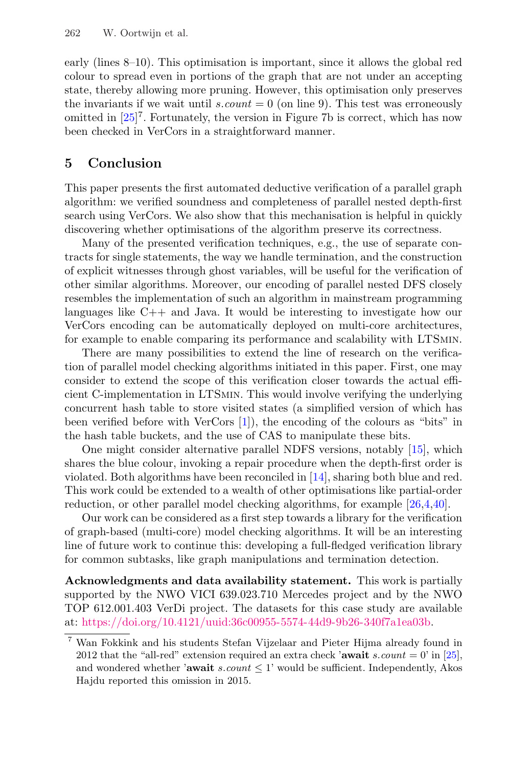early (lines [8–10\)](#page-15-1). This optimisation is important, since it allows the global red colour to spread even in portions of the graph that are not under an accepting state, thereby allowing more pruning. However, this optimisation only preserves the invariants if we wait until  $s.count = 0$  (on [line 9\)](#page-15-1). This test was erroneously omitted in [\[25\]](#page-18-0) [7](#page-16-1) . Fortunately, the version in [Figure 7b](#page-15-1) is correct, which has now been checked in VerCors in a straightforward manner.

# <span id="page-16-0"></span>5 Conclusion

This paper presents the first automated deductive verification of a parallel graph algorithm: we verified soundness and completeness of parallel nested depth-first search using VerCors. We also show that this mechanisation is helpful in quickly discovering whether optimisations of the algorithm preserve its correctness.

Many of the presented verification techniques, e.g., the use of separate contracts for single statements, the way we handle termination, and the construction of explicit witnesses through ghost variables, will be useful for the verification of other similar algorithms. Moreover, our encoding of parallel nested DFS closely resembles the implementation of such an algorithm in mainstream programming languages like C++ and Java. It would be interesting to investigate how our VerCors encoding can be automatically deployed on multi-core architectures, for example to enable comparing its performance and scalability with LTSmin.

There are many possibilities to extend the line of research on the verification of parallel model checking algorithms initiated in this paper. First, one may consider to extend the scope of this verification closer towards the actual efficient C-implementation in LTSmin. This would involve verifying the underlying concurrent hash table to store visited states (a simplified version of which has been verified before with VerCors [\[1\]](#page-17-16)), the encoding of the colours as "bits" in the hash table buckets, and the use of CAS to manipulate these bits.

One might consider alternative parallel NDFS versions, notably [\[15\]](#page-17-8), which shares the blue colour, invoking a repair procedure when the depth-first order is violated. Both algorithms have been reconciled in [\[14\]](#page-17-7), sharing both blue and red. This work could be extended to a wealth of other optimisations like partial-order reduction, or other parallel model checking algorithms, for example [\[26,](#page-18-19)[4](#page-17-17)[,40\]](#page-19-8).

Our work can be considered as a first step towards a library for the verification of graph-based (multi-core) model checking algorithms. It will be an interesting line of future work to continue this: developing a full-fledged verification library for common subtasks, like graph manipulations and termination detection.

Acknowledgments and data availability statement. This work is partially supported by the NWO VICI 639.023.710 Mercedes project and by the NWO TOP 612.001.403 VerDi project. The datasets for this case study are available at: [https://doi.org/10.4121/uuid:36c00955-5574-44d9-9b26-340f7a1ea03b.](https://doi.org/10.4121/uuid:36c00955-5574-44d9-9b26-340f7a1ea03b)

<span id="page-16-1"></span><sup>7</sup> Wan Fokkink and his students Stefan Vijzelaar and Pieter Hijma already found in 2012 that the "all-red" extension required an extra check 'await s.count = 0' in [\[25\]](#page-18-0), and wondered whether 'await  $s.count \leq 1$ ' would be sufficient. Independently, Akos Hajdu reported this omission in 2015.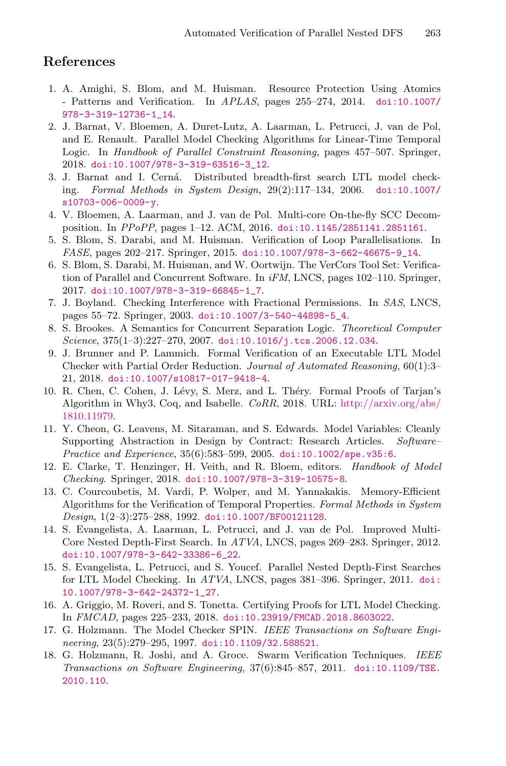# References

- <span id="page-17-16"></span>1. A. Amighi, S. Blom, and M. Huisman. Resource Protection Using Atomics - Patterns and Verification. In APLAS, pages 255–274, 2014. [doi:10.1007/](http://dx.doi.org/10.1007/978-3-319-12736-1_14) [978-3-319-12736-1\\_14](http://dx.doi.org/10.1007/978-3-319-12736-1_14).
- <span id="page-17-1"></span>2. J. Barnat, V. Bloemen, A. Duret-Lutz, A. Laarman, L. Petrucci, J. van de Pol, and E. Renault. Parallel Model Checking Algorithms for Linear-Time Temporal Logic. In Handbook of Parallel Constraint Reasoning, pages 457–507. Springer, 2018. [doi:10.1007/978-3-319-63516-3\\_12](http://dx.doi.org/10.1007/978-3-319-63516-3_12).
- <span id="page-17-5"></span>3. J. Barnat and I. Cern´a. Distributed breadth-first search LTL model checking. Formal Methods in System Design, 29(2):117–134, 2006. [doi:10.1007/](http://dx.doi.org/10.1007/s10703-006-0009-y) [s10703-006-0009-y](http://dx.doi.org/10.1007/s10703-006-0009-y).
- <span id="page-17-17"></span>4. V. Bloemen, A. Laarman, and J. van de Pol. Multi-core On-the-fly SCC Decomposition. In PPoPP, pages 1–12. ACM, 2016. [doi:10.1145/2851141.2851161](http://dx.doi.org/10.1145/2851141.2851161).
- <span id="page-17-15"></span>5. S. Blom, S. Darabi, and M. Huisman. Verification of Loop Parallelisations. In FASE, pages 202–217. Springer, 2015. [doi:10.1007/978-3-662-46675-9\\_14](http://dx.doi.org/10.1007/978-3-662-46675-9_14).
- <span id="page-17-2"></span>6. S. Blom, S. Darabi, M. Huisman, and W. Oortwijn. The VerCors Tool Set: Verification of Parallel and Concurrent Software. In iFM, LNCS, pages 102–110. Springer, 2017. [doi:10.1007/978-3-319-66845-1\\_7](http://dx.doi.org/10.1007/978-3-319-66845-1_7).
- <span id="page-17-12"></span>7. J. Boyland. Checking Interference with Fractional Permissions. In SAS, LNCS, pages 55–72. Springer, 2003. [doi:10.1007/3-540-44898-5\\_4](http://dx.doi.org/10.1007/3-540-44898-5_4).
- <span id="page-17-13"></span>8. S. Brookes. A Semantics for Concurrent Separation Logic. Theoretical Computer Science, 375(1–3):227–270, 2007. [doi:10.1016/j.tcs.2006.12.034](http://dx.doi.org/10.1016/j.tcs.2006.12.034).
- <span id="page-17-10"></span>9. J. Brunner and P. Lammich. Formal Verification of an Executable LTL Model Checker with Partial Order Reduction. Journal of Automated Reasoning, 60(1):3– 21, 2018. [doi:10.1007/s10817-017-9418-4](http://dx.doi.org/10.1007/s10817-017-9418-4).
- <span id="page-17-11"></span>10. R. Chen, C. Cohen, J. Lévy, S. Merz, and L. Théry. Formal Proofs of Tarjan's Algorithm in Why3, Coq, and Isabelle. CoRR, 2018. URL: [http://arxiv.org/abs/](http://arxiv.org/abs/1810.11979) [1810.11979.](http://arxiv.org/abs/1810.11979)
- <span id="page-17-14"></span>11. Y. Cheon, G. Leavens, M. Sitaraman, and S. Edwards. Model Variables: Cleanly Supporting Abstraction in Design by Contract: Research Articles. Software– Practice and Experience, 35(6):583–599, 2005. [doi:10.1002/spe.v35:6](http://dx.doi.org/10.1002/spe.v35:6).
- <span id="page-17-0"></span>12. E. Clarke, T. Henzinger, H. Veith, and R. Bloem, editors. Handbook of Model Checking. Springer, 2018. [doi:10.1007/978-3-319-10575-8](http://dx.doi.org/10.1007/978-3-319-10575-8).
- <span id="page-17-3"></span>13. C. Courcoubetis, M. Vardi, P. Wolper, and M. Yannakakis. Memory-Efficient Algorithms for the Verification of Temporal Properties. Formal Methods in System Design, 1(2–3):275–288, 1992. [doi:10.1007/BF00121128](http://dx.doi.org/10.1007/BF00121128).
- <span id="page-17-7"></span>14. S. Evangelista, A. Laarman, L. Petrucci, and J. van de Pol. Improved Multi-Core Nested Depth-First Search. In ATVA, LNCS, pages 269–283. Springer, 2012. [doi:10.1007/978-3-642-33386-6\\_22](http://dx.doi.org/10.1007/978-3-642-33386-6_22).
- <span id="page-17-8"></span>15. S. Evangelista, L. Petrucci, and S. Youcef. Parallel Nested Depth-First Searches for LTL Model Checking. In ATVA, LNCS, pages 381–396. Springer, 2011. [doi:](http://dx.doi.org/10.1007/978-3-642-24372-1_27) [10.1007/978-3-642-24372-1\\_27](http://dx.doi.org/10.1007/978-3-642-24372-1_27).
- <span id="page-17-9"></span>16. A. Griggio, M. Roveri, and S. Tonetta. Certifying Proofs for LTL Model Checking. In FMCAD, pages 225–233, 2018. [doi:10.23919/FMCAD.2018.8603022](http://dx.doi.org/10.23919/FMCAD.2018.8603022).
- <span id="page-17-4"></span>17. G. Holzmann. The Model Checker SPIN. IEEE Transactions on Software Engineering, 23(5):279-295, 1997. [doi:10.1109/32.588521](http://dx.doi.org/10.1109/32.588521).
- <span id="page-17-6"></span>18. G. Holzmann, R. Joshi, and A. Groce. Swarm Verification Techniques. IEEE Transactions on Software Engineering, 37(6):845–857, 2011. [doi:10.1109/TSE.](http://dx.doi.org/10.1109/TSE.2010.110) [2010.110](http://dx.doi.org/10.1109/TSE.2010.110).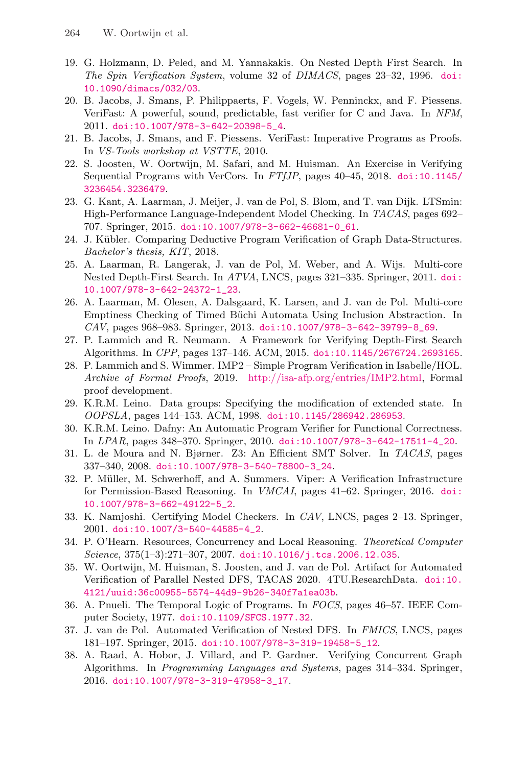- <span id="page-18-5"></span>19. G. Holzmann, D. Peled, and M. Yannakakis. On Nested Depth First Search. In The Spin Verification System, volume 32 of DIMACS, pages 23–32, 1996. [doi:](http://dx.doi.org/10.1090/dimacs/032/03) [10.1090/dimacs/032/03](http://dx.doi.org/10.1090/dimacs/032/03).
- <span id="page-18-10"></span>20. B. Jacobs, J. Smans, P. Philippaerts, F. Vogels, W. Penninckx, and F. Piessens. VeriFast: A powerful, sound, predictable, fast verifier for C and Java. In NFM, 2011. [doi:10.1007/978-3-642-20398-5\\_4](http://dx.doi.org/10.1007/978-3-642-20398-5_4).
- <span id="page-18-17"></span>21. B. Jacobs, J. Smans, and F. Piessens. VeriFast: Imperative Programs as Proofs. In VS-Tools workshop at VSTTE, 2010.
- <span id="page-18-18"></span>22. S. Joosten, W. Oortwijn, M. Safari, and M. Huisman. An Exercise in Verifying Sequential Programs with VerCors. In FTfJP, pages 40–45, 2018. [doi:10.1145/](http://dx.doi.org/10.1145/3236454.3236479) [3236454.3236479](http://dx.doi.org/10.1145/3236454.3236479).
- <span id="page-18-1"></span>23. G. Kant, A. Laarman, J. Meijer, J. van de Pol, S. Blom, and T. van Dijk. LTSmin: High-Performance Language-Independent Model Checking. In TACAS, pages 692– 707. Springer, 2015. [doi:10.1007/978-3-662-46681-0\\_61](http://dx.doi.org/10.1007/978-3-662-46681-0_61).
- <span id="page-18-16"></span>24. J. Kübler. Comparing Deductive Program Verification of Graph Data-Structures. Bachelor's thesis, KIT, 2018.
- <span id="page-18-0"></span>25. A. Laarman, R. Langerak, J. van de Pol, M. Weber, and A. Wijs. Multi-core Nested Depth-First Search. In ATVA, LNCS, pages 321–335. Springer, 2011. [doi:](http://dx.doi.org/10.1007/978-3-642-24372-1_23) [10.1007/978-3-642-24372-1\\_23](http://dx.doi.org/10.1007/978-3-642-24372-1_23).
- <span id="page-18-19"></span>26. A. Laarman, M. Olesen, A. Dalsgaard, K. Larsen, and J. van de Pol. Multi-core Emptiness Checking of Timed Büchi Automata Using Inclusion Abstraction. In CAV, pages 968–983. Springer, 2013. [doi:10.1007/978-3-642-39799-8\\_69](http://dx.doi.org/10.1007/978-3-642-39799-8_69).
- <span id="page-18-7"></span>27. P. Lammich and R. Neumann. A Framework for Verifying Depth-First Search Algorithms. In CPP, pages 137–146. ACM, 2015. [doi:10.1145/2676724.2693165](http://dx.doi.org/10.1145/2676724.2693165).
- <span id="page-18-8"></span>28. P. Lammich and S. Wimmer. IMP2 – Simple Program Verification in Isabelle/HOL. Archive of Formal Proofs, 2019. [http://isa-afp.org/entries/IMP2.html,](http://isa-afp.org/entries/IMP2.html) Formal proof development.
- <span id="page-18-15"></span>29. K.R.M. Leino. Data groups: Specifying the modification of extended state. In OOPSLA, pages 144–153. ACM, 1998. [doi:10.1145/286942.286953](http://dx.doi.org/10.1145/286942.286953).
- <span id="page-18-3"></span>30. K.R.M. Leino. Dafny: An Automatic Program Verifier for Functional Correctness. In LPAR, pages 348–370. Springer, 2010. [doi:10.1007/978-3-642-17511-4\\_20](http://dx.doi.org/10.1007/978-3-642-17511-4_20).
- <span id="page-18-12"></span>31. L. de Moura and N. Bjørner. Z3: An Efficient SMT Solver. In TACAS, pages 337–340, 2008. [doi:10.1007/978-3-540-78800-3\\_24](http://dx.doi.org/10.1007/978-3-540-78800-3_24).
- <span id="page-18-11"></span>32. P. M¨uller, M. Schwerhoff, and A. Summers. Viper: A Verification Infrastructure for Permission-Based Reasoning. In VMCAI, pages 41–62. Springer, 2016. [doi:](http://dx.doi.org/10.1007/978-3-662-49122-5_2) [10.1007/978-3-662-49122-5\\_2](http://dx.doi.org/10.1007/978-3-662-49122-5_2).
- <span id="page-18-6"></span>33. K. Namjoshi. Certifying Model Checkers. In CAV, LNCS, pages 2–13. Springer, 2001. [doi:10.1007/3-540-44585-4\\_2](http://dx.doi.org/10.1007/3-540-44585-4_2).
- <span id="page-18-13"></span>34. P. O'Hearn. Resources, Concurrency and Local Reasoning. Theoretical Computer  $Science, 375(1-3):271-307, 2007.$  [doi:10.1016/j.tcs.2006.12.035](http://dx.doi.org/10.1016/j.tcs.2006.12.035).
- <span id="page-18-14"></span>35. W. Oortwijn, M. Huisman, S. Joosten, and J. van de Pol. Artifact for Automated Verification of Parallel Nested DFS, TACAS 2020. 4TU.ResearchData. [doi:10.](http://dx.doi.org/10.4121/uuid:36c00955-5574-44d9-9b26-340f7a1ea03b) [4121/uuid:36c00955-5574-44d9-9b26-340f7a1ea03b](http://dx.doi.org/10.4121/uuid:36c00955-5574-44d9-9b26-340f7a1ea03b).
- <span id="page-18-4"></span>36. A. Pnueli. The Temporal Logic of Programs. In FOCS, pages 46–57. IEEE Computer Society, 1977. [doi:10.1109/SFCS.1977.32](http://dx.doi.org/10.1109/SFCS.1977.32).
- <span id="page-18-2"></span>37. J. van de Pol. Automated Verification of Nested DFS. In FMICS, LNCS, pages 181–197. Springer, 2015. [doi:10.1007/978-3-319-19458-5\\_12](http://dx.doi.org/10.1007/978-3-319-19458-5_12).
- <span id="page-18-9"></span>38. A. Raad, A. Hobor, J. Villard, and P. Gardner. Verifying Concurrent Graph Algorithms. In Programming Languages and Systems, pages 314–334. Springer, 2016. [doi:10.1007/978-3-319-47958-3\\_17](http://dx.doi.org/10.1007/978-3-319-47958-3_17).